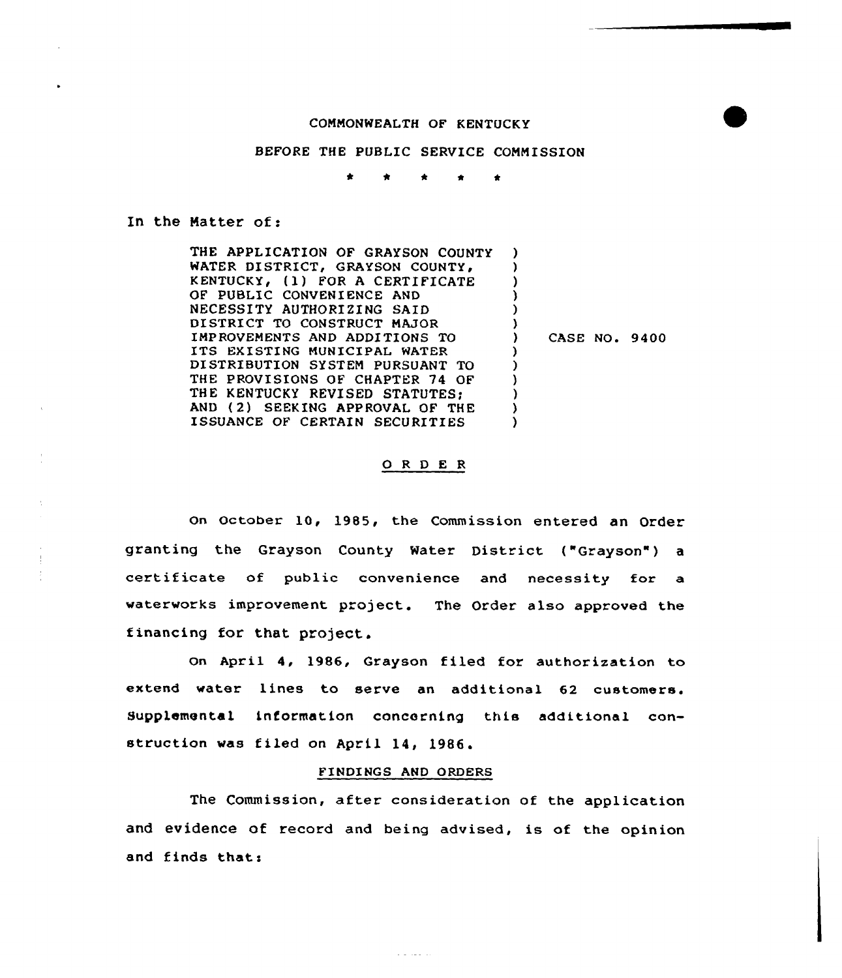## COMMONWEALTH OF KENTUCKY

## BEFORE THE PUBLIC SERVICE CONNISSION

\* \* \* <sup>4</sup> \*

In the Hatter of:

THE APPLICATION OF GRAYSON COUNTY WATER DISTRICT, GRAYSON COUNTY, KENTUCKY, (1) FOR A CERTIFICATE OF PUBLIC CONVENIENCE AND NECESSITY AUTHORIZING SAID DISTRICT TO CONSTRUCT MAJOR IMPROVEMENTS AND ADDITIONS TO ITS EXISTING MUNICIPAL WATER DISTRIBUTION SYSTEM PURSUANT TO THE PROVISIONS OF CHAPTER 74 OF THE KENTUCKY REVISED STATUTES; AND ( 2) SEEKING APPROVAL OF THE ISSUANCE OF CERTAIN SECURITIES ) ) ) ) )  $\left\{ \right.$ ) CASE NO, 9400 ) ) ) ) ) )

## 0 <sup>R</sup> <sup>D</sup> <sup>E</sup> <sup>R</sup>

On October 10, 1985, the Commission entered an Order granting the Grayson County Water District ("Grayson") a certificate of public convenience and necessity for a waterworks improvement project. The Order also approved the financing for that project.

on April 4, 1986, Grayson filed for authorization to extend water lines to serve an additional 62 customers. Supplemental information concerning this additional construction was filed on April 14, 1986.

## FINDI NGS AND ORDERS

The Commission, after consideration of the application and evidence of record and being advised, is of the opinion and finds that:

and the control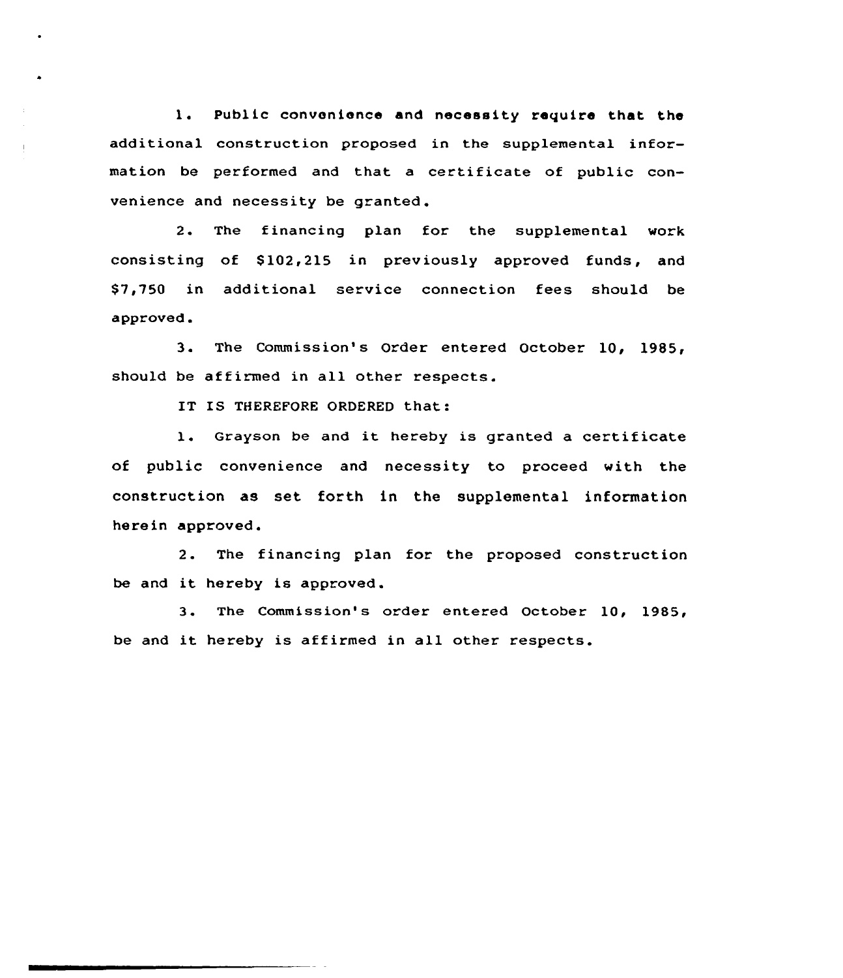1. Public convenience and necessity require that the additional construction proposed in the supplemental information be performed and that a certificate of public convenience and necessity be granted.

2. The financing plan for the supplemental work consisting of \$102,215 in previously approved funds, and \$ 7,750 in additional service connection fees should be approved.

3. The Commission's Order entered October 10, 1985, should be affirmed in all other respects.

IT IS THEREFORE ORDERED that:

l. Grayson be and it hereby is granted <sup>a</sup> certificate of public convenience and necessity to proceed with the construction as set forth in the supplemental information herein approved.

2. The financing plan for the proposed construction be and it hereby is approved.

3. The Commission's order entered October 10, 1985, be and it hereby is affirmed in all other respects.